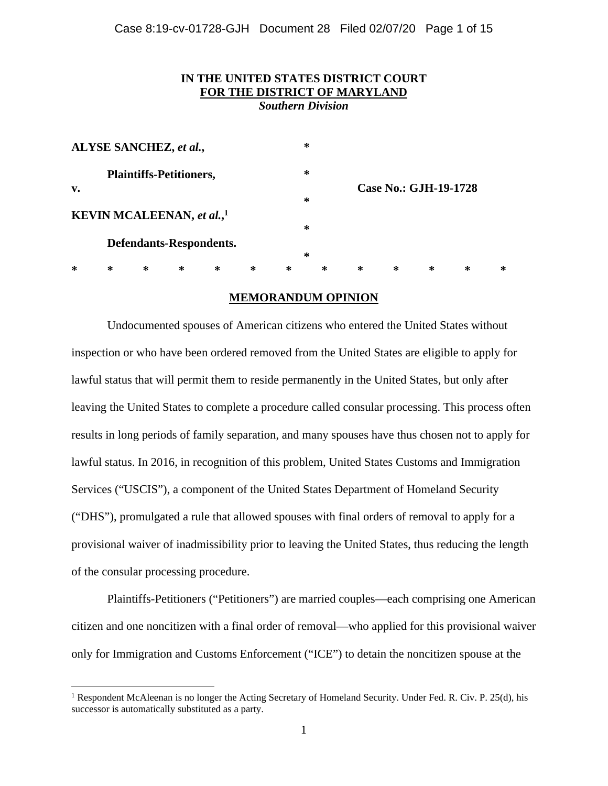# **IN THE UNITED STATES DISTRICT COURT FOR THE DISTRICT OF MARYLAND**

*Southern Division* 

| ALYSE SANCHEZ, et al.,            |        |        |        |        |   | ∗ |   |                       |   |   |        |   |  |
|-----------------------------------|--------|--------|--------|--------|---|---|---|-----------------------|---|---|--------|---|--|
| <b>Plaintiffs-Petitioners,</b>    |        |        |        |        |   | ∗ |   |                       |   |   |        |   |  |
| v.                                |        |        |        |        |   | ∗ |   | Case No.: GJH-19-1728 |   |   |        |   |  |
| <b>KEVIN MCALEENAN, et al.,1</b>  |        |        |        |        |   |   | ∗ |                       |   |   |        |   |  |
| Defendants-Respondents.<br>$\ast$ |        |        |        |        |   |   |   |                       |   |   |        |   |  |
| $\ast$                            | $\ast$ | $\ast$ | $\ast$ | $\ast$ | ∗ | ∗ | ∗ | ∗                     | ∗ | ∗ | $\ast$ | ∗ |  |

# **MEMORANDUM OPINION**

Undocumented spouses of American citizens who entered the United States without inspection or who have been ordered removed from the United States are eligible to apply for lawful status that will permit them to reside permanently in the United States, but only after leaving the United States to complete a procedure called consular processing. This process often results in long periods of family separation, and many spouses have thus chosen not to apply for lawful status. In 2016, in recognition of this problem, United States Customs and Immigration Services ("USCIS"), a component of the United States Department of Homeland Security ("DHS"), promulgated a rule that allowed spouses with final orders of removal to apply for a provisional waiver of inadmissibility prior to leaving the United States, thus reducing the length of the consular processing procedure.

Plaintiffs-Petitioners ("Petitioners") are married couples—each comprising one American citizen and one noncitizen with a final order of removal—who applied for this provisional waiver only for Immigration and Customs Enforcement ("ICE") to detain the noncitizen spouse at the

<sup>&</sup>lt;sup>1</sup> Respondent McAleenan is no longer the Acting Secretary of Homeland Security. Under Fed. R. Civ. P. 25(d), his successor is automatically substituted as a party.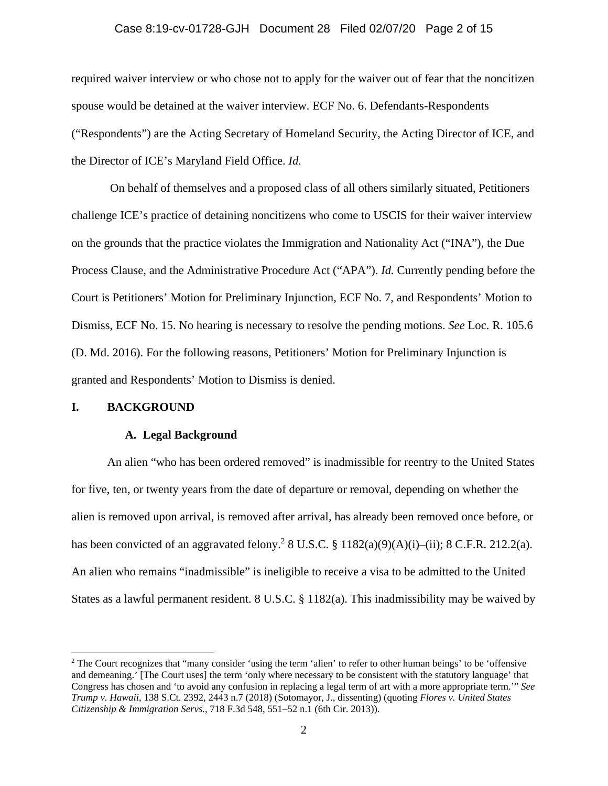## Case 8:19-cv-01728-GJH Document 28 Filed 02/07/20 Page 2 of 15

required waiver interview or who chose not to apply for the waiver out of fear that the noncitizen spouse would be detained at the waiver interview. ECF No. 6. Defendants-Respondents ("Respondents") are the Acting Secretary of Homeland Security, the Acting Director of ICE, and the Director of ICE's Maryland Field Office. *Id.*

 On behalf of themselves and a proposed class of all others similarly situated, Petitioners challenge ICE's practice of detaining noncitizens who come to USCIS for their waiver interview on the grounds that the practice violates the Immigration and Nationality Act ("INA"), the Due Process Clause, and the Administrative Procedure Act ("APA"). *Id.* Currently pending before the Court is Petitioners' Motion for Preliminary Injunction, ECF No. 7, and Respondents' Motion to Dismiss, ECF No. 15. No hearing is necessary to resolve the pending motions. *See* Loc. R. 105.6 (D. Md. 2016). For the following reasons, Petitioners' Motion for Preliminary Injunction is granted and Respondents' Motion to Dismiss is denied.

## **I. BACKGROUND**

#### **A. Legal Background**

An alien "who has been ordered removed" is inadmissible for reentry to the United States for five, ten, or twenty years from the date of departure or removal, depending on whether the alien is removed upon arrival, is removed after arrival, has already been removed once before, or has been convicted of an aggravated felony.<sup>2</sup> 8 U.S.C. § 1182(a)(9)(A)(i)–(ii); 8 C.F.R. 212.2(a). An alien who remains "inadmissible" is ineligible to receive a visa to be admitted to the United States as a lawful permanent resident. 8 U.S.C. § 1182(a). This inadmissibility may be waived by

<sup>&</sup>lt;sup>2</sup> The Court recognizes that "many consider 'using the term 'alien' to refer to other human beings' to be 'offensive and demeaning.' [The Court uses] the term 'only where necessary to be consistent with the statutory language' that Congress has chosen and 'to avoid any confusion in replacing a legal term of art with a more appropriate term.'" *See Trump v. Hawaii*, 138 S.Ct. 2392, 2443 n.7 (2018) (Sotomayor, J., dissenting) (quoting *Flores v. United States Citizenship & Immigration Servs.*, 718 F.3d 548, 551–52 n.1 (6th Cir. 2013)).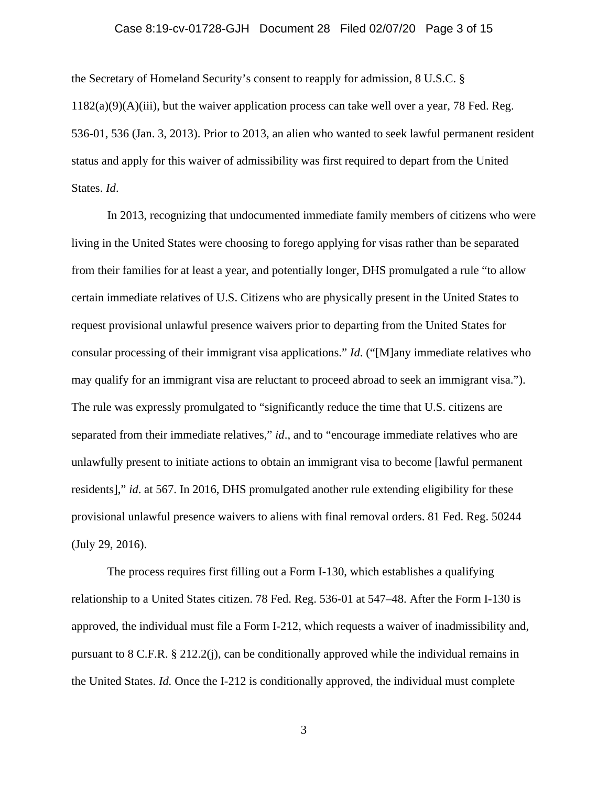## Case 8:19-cv-01728-GJH Document 28 Filed 02/07/20 Page 3 of 15

the Secretary of Homeland Security's consent to reapply for admission, 8 U.S.C. §  $1182(a)(9)(A)(iii)$ , but the waiver application process can take well over a year, 78 Fed. Reg. 536-01, 536 (Jan. 3, 2013). Prior to 2013, an alien who wanted to seek lawful permanent resident status and apply for this waiver of admissibility was first required to depart from the United States. *Id*.

In 2013, recognizing that undocumented immediate family members of citizens who were living in the United States were choosing to forego applying for visas rather than be separated from their families for at least a year, and potentially longer, DHS promulgated a rule "to allow certain immediate relatives of U.S. Citizens who are physically present in the United States to request provisional unlawful presence waivers prior to departing from the United States for consular processing of their immigrant visa applications." *Id*. ("[M]any immediate relatives who may qualify for an immigrant visa are reluctant to proceed abroad to seek an immigrant visa."). The rule was expressly promulgated to "significantly reduce the time that U.S. citizens are separated from their immediate relatives," *id.*, and to "encourage immediate relatives who are unlawfully present to initiate actions to obtain an immigrant visa to become [lawful permanent residents]," *id*. at 567. In 2016, DHS promulgated another rule extending eligibility for these provisional unlawful presence waivers to aliens with final removal orders. 81 Fed. Reg. 50244 (July 29, 2016).

The process requires first filling out a Form I-130, which establishes a qualifying relationship to a United States citizen. 78 Fed. Reg. 536-01 at 547–48. After the Form I-130 is approved, the individual must file a Form I-212, which requests a waiver of inadmissibility and, pursuant to 8 C.F.R.  $\S 212.2(i)$ , can be conditionally approved while the individual remains in the United States. *Id.* Once the I-212 is conditionally approved, the individual must complete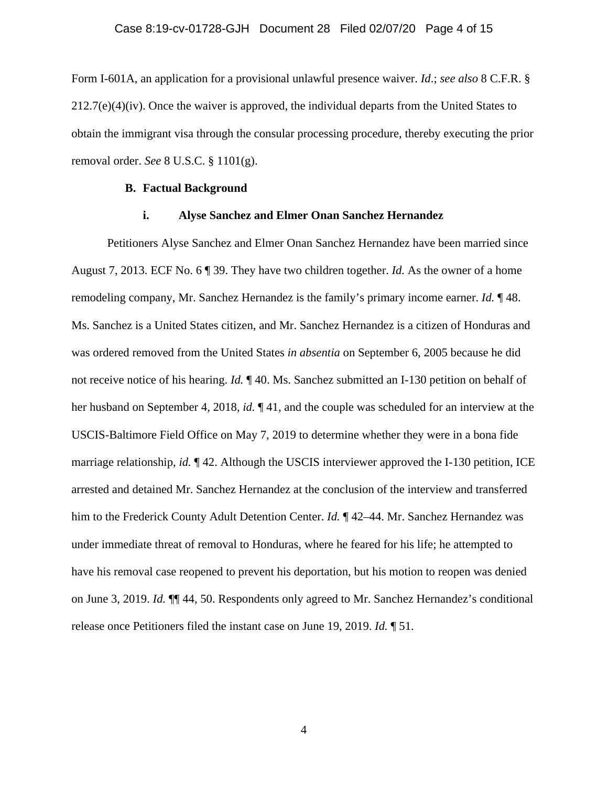Form I-601A, an application for a provisional unlawful presence waiver. *Id*.; *see also* 8 C.F.R. §  $212.7(e)(4)(iv)$ . Once the waiver is approved, the individual departs from the United States to obtain the immigrant visa through the consular processing procedure, thereby executing the prior removal order. *See* 8 U.S.C. § 1101(g).

## **B. Factual Background**

## **i. Alyse Sanchez and Elmer Onan Sanchez Hernandez**

Petitioners Alyse Sanchez and Elmer Onan Sanchez Hernandez have been married since August 7, 2013. ECF No. 6 ¶ 39. They have two children together. *Id.* As the owner of a home remodeling company, Mr. Sanchez Hernandez is the family's primary income earner. *Id.* ¶ 48. Ms. Sanchez is a United States citizen, and Mr. Sanchez Hernandez is a citizen of Honduras and was ordered removed from the United States *in absentia* on September 6, 2005 because he did not receive notice of his hearing. *Id.* ¶ 40. Ms. Sanchez submitted an I-130 petition on behalf of her husband on September 4, 2018, *id.* ¶ 41, and the couple was scheduled for an interview at the USCIS-Baltimore Field Office on May 7, 2019 to determine whether they were in a bona fide marriage relationship, *id.* ¶ 42. Although the USCIS interviewer approved the I-130 petition, ICE arrested and detained Mr. Sanchez Hernandez at the conclusion of the interview and transferred him to the Frederick County Adult Detention Center. *Id.*  $\P$  42–44. Mr. Sanchez Hernandez was under immediate threat of removal to Honduras, where he feared for his life; he attempted to have his removal case reopened to prevent his deportation, but his motion to reopen was denied on June 3, 2019. *Id.* ¶¶ 44, 50. Respondents only agreed to Mr. Sanchez Hernandez's conditional release once Petitioners filed the instant case on June 19, 2019. *Id.* ¶ 51.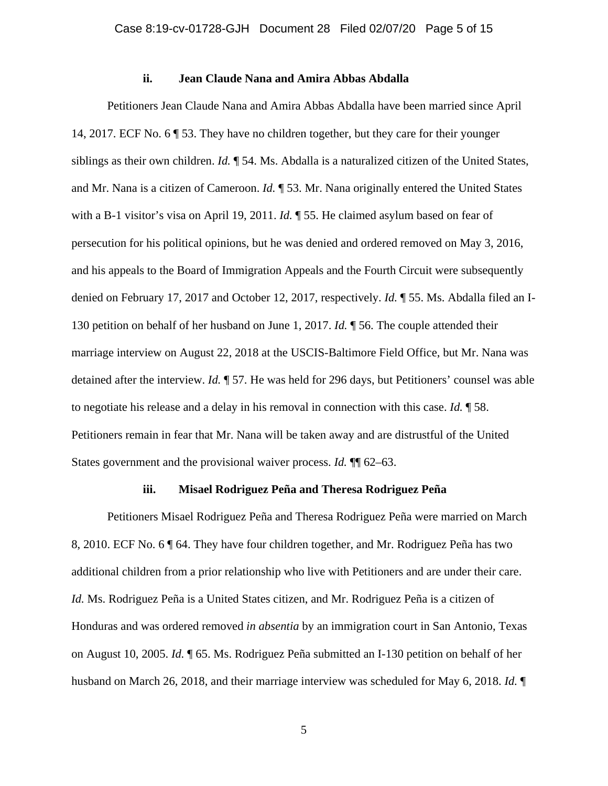# **ii. Jean Claude Nana and Amira Abbas Abdalla**

Petitioners Jean Claude Nana and Amira Abbas Abdalla have been married since April 14, 2017. ECF No. 6 ¶ 53. They have no children together, but they care for their younger siblings as their own children. *Id.* ¶ 54. Ms. Abdalla is a naturalized citizen of the United States, and Mr. Nana is a citizen of Cameroon. *Id.* ¶ 53. Mr. Nana originally entered the United States with a B-1 visitor's visa on April 19, 2011. *Id.* ¶ 55. He claimed asylum based on fear of persecution for his political opinions, but he was denied and ordered removed on May 3, 2016, and his appeals to the Board of Immigration Appeals and the Fourth Circuit were subsequently denied on February 17, 2017 and October 12, 2017, respectively. *Id.* ¶ 55. Ms. Abdalla filed an I-130 petition on behalf of her husband on June 1, 2017. *Id.* ¶ 56. The couple attended their marriage interview on August 22, 2018 at the USCIS-Baltimore Field Office, but Mr. Nana was detained after the interview. *Id.* ¶ 57. He was held for 296 days, but Petitioners' counsel was able to negotiate his release and a delay in his removal in connection with this case. *Id.* ¶ 58. Petitioners remain in fear that Mr. Nana will be taken away and are distrustful of the United States government and the provisional waiver process. *Id.* ¶¶ 62–63.

## **iii. Misael Rodriguez Peña and Theresa Rodriguez Peña**

Petitioners Misael Rodriguez Peña and Theresa Rodriguez Peña were married on March 8, 2010. ECF No. 6 ¶ 64. They have four children together, and Mr. Rodriguez Peña has two additional children from a prior relationship who live with Petitioners and are under their care. *Id.* Ms. Rodriguez Peña is a United States citizen, and Mr. Rodriguez Peña is a citizen of Honduras and was ordered removed *in absentia* by an immigration court in San Antonio, Texas on August 10, 2005. *Id.* ¶ 65. Ms. Rodriguez Peña submitted an I-130 petition on behalf of her husband on March 26, 2018, and their marriage interview was scheduled for May 6, 2018. *Id.* ¶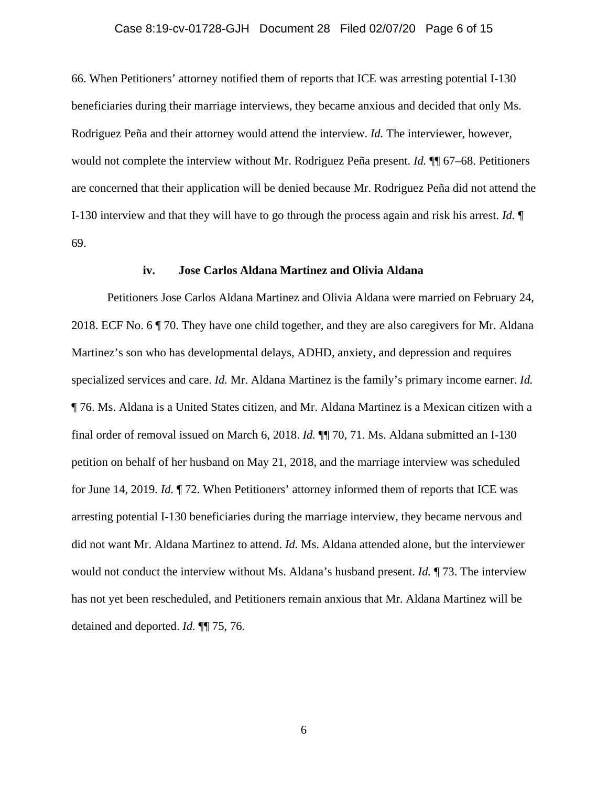## Case 8:19-cv-01728-GJH Document 28 Filed 02/07/20 Page 6 of 15

66. When Petitioners' attorney notified them of reports that ICE was arresting potential I-130 beneficiaries during their marriage interviews, they became anxious and decided that only Ms. Rodriguez Peña and their attorney would attend the interview. *Id.* The interviewer, however, would not complete the interview without Mr. Rodriguez Peña present. *Id.* ¶¶ 67–68. Petitioners are concerned that their application will be denied because Mr. Rodriguez Peña did not attend the I-130 interview and that they will have to go through the process again and risk his arrest. *Id.* ¶ 69.

#### **iv. Jose Carlos Aldana Martinez and Olivia Aldana**

Petitioners Jose Carlos Aldana Martinez and Olivia Aldana were married on February 24, 2018. ECF No. 6 ¶ 70. They have one child together, and they are also caregivers for Mr. Aldana Martinez's son who has developmental delays, ADHD, anxiety, and depression and requires specialized services and care. *Id.* Mr. Aldana Martinez is the family's primary income earner. *Id.* ¶ 76. Ms. Aldana is a United States citizen, and Mr. Aldana Martinez is a Mexican citizen with a final order of removal issued on March 6, 2018. *Id.* ¶¶ 70, 71. Ms. Aldana submitted an I-130 petition on behalf of her husband on May 21, 2018, and the marriage interview was scheduled for June 14, 2019. *Id.* ¶ 72. When Petitioners' attorney informed them of reports that ICE was arresting potential I-130 beneficiaries during the marriage interview, they became nervous and did not want Mr. Aldana Martinez to attend. *Id.* Ms. Aldana attended alone, but the interviewer would not conduct the interview without Ms. Aldana's husband present. *Id.* ¶ 73. The interview has not yet been rescheduled, and Petitioners remain anxious that Mr. Aldana Martinez will be detained and deported. *Id.* ¶¶ 75, 76.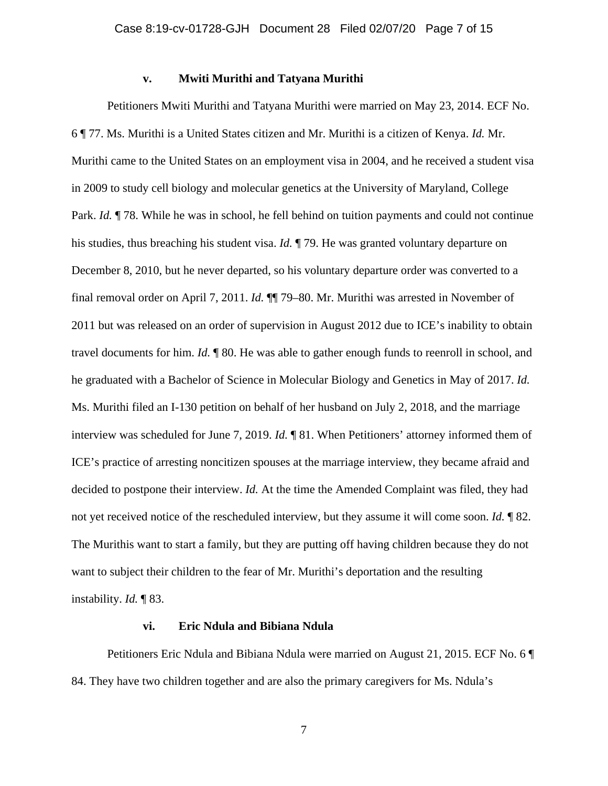## **v. Mwiti Murithi and Tatyana Murithi**

Petitioners Mwiti Murithi and Tatyana Murithi were married on May 23, 2014. ECF No. 6 ¶ 77. Ms. Murithi is a United States citizen and Mr. Murithi is a citizen of Kenya. *Id.* Mr. Murithi came to the United States on an employment visa in 2004, and he received a student visa in 2009 to study cell biology and molecular genetics at the University of Maryland, College Park. *Id.* ¶ 78. While he was in school, he fell behind on tuition payments and could not continue his studies, thus breaching his student visa. *Id.* ¶ 79. He was granted voluntary departure on December 8, 2010, but he never departed, so his voluntary departure order was converted to a final removal order on April 7, 2011. *Id.* ¶¶ 79–80. Mr. Murithi was arrested in November of 2011 but was released on an order of supervision in August 2012 due to ICE's inability to obtain travel documents for him. *Id.* ¶ 80. He was able to gather enough funds to reenroll in school, and he graduated with a Bachelor of Science in Molecular Biology and Genetics in May of 2017. *Id.* Ms. Murithi filed an I-130 petition on behalf of her husband on July 2, 2018, and the marriage interview was scheduled for June 7, 2019. *Id.* ¶ 81. When Petitioners' attorney informed them of ICE's practice of arresting noncitizen spouses at the marriage interview, they became afraid and decided to postpone their interview. *Id.* At the time the Amended Complaint was filed, they had not yet received notice of the rescheduled interview, but they assume it will come soon. *Id.* ¶ 82. The Murithis want to start a family, but they are putting off having children because they do not want to subject their children to the fear of Mr. Murithi's deportation and the resulting instability. *Id.* ¶ 83.

#### **vi. Eric Ndula and Bibiana Ndula**

Petitioners Eric Ndula and Bibiana Ndula were married on August 21, 2015. ECF No. 6 ¶ 84. They have two children together and are also the primary caregivers for Ms. Ndula's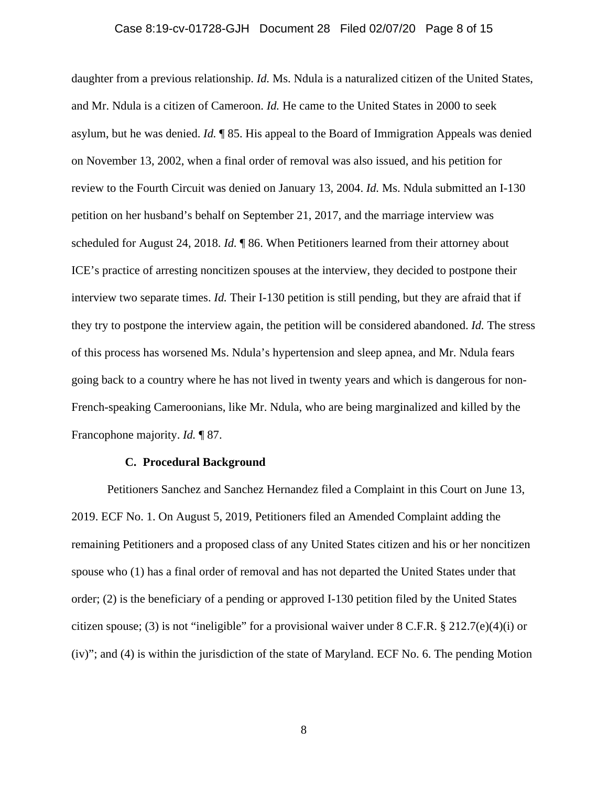## Case 8:19-cv-01728-GJH Document 28 Filed 02/07/20 Page 8 of 15

daughter from a previous relationship. *Id.* Ms. Ndula is a naturalized citizen of the United States, and Mr. Ndula is a citizen of Cameroon. *Id.* He came to the United States in 2000 to seek asylum, but he was denied. *Id.* ¶ 85. His appeal to the Board of Immigration Appeals was denied on November 13, 2002, when a final order of removal was also issued, and his petition for review to the Fourth Circuit was denied on January 13, 2004. *Id.* Ms. Ndula submitted an I-130 petition on her husband's behalf on September 21, 2017, and the marriage interview was scheduled for August 24, 2018. *Id.* ¶ 86. When Petitioners learned from their attorney about ICE's practice of arresting noncitizen spouses at the interview, they decided to postpone their interview two separate times. *Id.* Their I-130 petition is still pending, but they are afraid that if they try to postpone the interview again, the petition will be considered abandoned. *Id.* The stress of this process has worsened Ms. Ndula's hypertension and sleep apnea, and Mr. Ndula fears going back to a country where he has not lived in twenty years and which is dangerous for non-French-speaking Cameroonians, like Mr. Ndula, who are being marginalized and killed by the Francophone majority. *Id.* ¶ 87.

## **C. Procedural Background**

Petitioners Sanchez and Sanchez Hernandez filed a Complaint in this Court on June 13, 2019. ECF No. 1. On August 5, 2019, Petitioners filed an Amended Complaint adding the remaining Petitioners and a proposed class of any United States citizen and his or her noncitizen spouse who (1) has a final order of removal and has not departed the United States under that order; (2) is the beneficiary of a pending or approved I-130 petition filed by the United States citizen spouse; (3) is not "ineligible" for a provisional waiver under  $8 \text{ C.F.R.}$ ,  $\frac{8}{3}$  212.7(e)(4)(i) or (iv)"; and (4) is within the jurisdiction of the state of Maryland. ECF No. 6. The pending Motion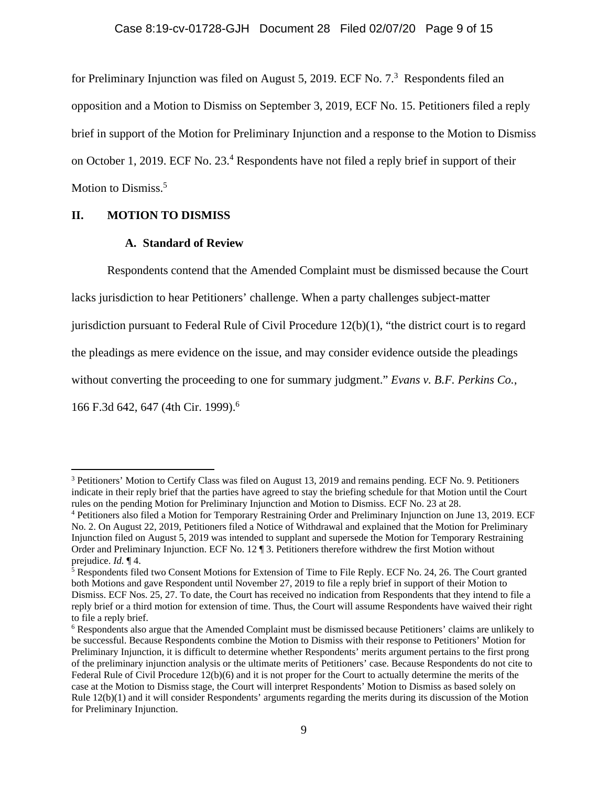for Preliminary Injunction was filed on August 5, 2019. ECF No.  $7<sup>3</sup>$  Respondents filed an opposition and a Motion to Dismiss on September 3, 2019, ECF No. 15. Petitioners filed a reply brief in support of the Motion for Preliminary Injunction and a response to the Motion to Dismiss on October 1, 2019. ECF No. 23.<sup>4</sup> Respondents have not filed a reply brief in support of their Motion to Dismiss.<sup>5</sup>

## **II. MOTION TO DISMISS**

## **A. Standard of Review**

Respondents contend that the Amended Complaint must be dismissed because the Court

lacks jurisdiction to hear Petitioners' challenge. When a party challenges subject-matter

jurisdiction pursuant to Federal Rule of Civil Procedure 12(b)(1), "the district court is to regard

the pleadings as mere evidence on the issue, and may consider evidence outside the pleadings

without converting the proceeding to one for summary judgment." *Evans v. B.F. Perkins Co.*,

166 F.3d 642, 647 (4th Cir. 1999).6

<sup>&</sup>lt;sup>3</sup> Petitioners' Motion to Certify Class was filed on August 13, 2019 and remains pending. ECF No. 9. Petitioners indicate in their reply brief that the parties have agreed to stay the briefing schedule for that Motion until the Court rules on the pending Motion for Preliminary Injunction and Motion to Dismiss. ECF No. 23 at 28.

<sup>4</sup> Petitioners also filed a Motion for Temporary Restraining Order and Preliminary Injunction on June 13, 2019. ECF No. 2. On August 22, 2019, Petitioners filed a Notice of Withdrawal and explained that the Motion for Preliminary Injunction filed on August 5, 2019 was intended to supplant and supersede the Motion for Temporary Restraining Order and Preliminary Injunction. ECF No. 12 ¶ 3. Petitioners therefore withdrew the first Motion without

prejudice. *Id*. ¶ 4.<br><sup>5</sup> Respondents filed two Consent Motions for Extension of Time to File Reply. ECF No. 24, 26. The Court granted both Motions and gave Respondent until November 27, 2019 to file a reply brief in support of their Motion to Dismiss. ECF Nos. 25, 27. To date, the Court has received no indication from Respondents that they intend to file a reply brief or a third motion for extension of time. Thus, the Court will assume Respondents have waived their right to file a reply brief.

<sup>&</sup>lt;sup>6</sup> Respondents also argue that the Amended Complaint must be dismissed because Petitioners' claims are unlikely to be successful. Because Respondents combine the Motion to Dismiss with their response to Petitioners' Motion for Preliminary Injunction, it is difficult to determine whether Respondents' merits argument pertains to the first prong of the preliminary injunction analysis or the ultimate merits of Petitioners' case. Because Respondents do not cite to Federal Rule of Civil Procedure 12(b)(6) and it is not proper for the Court to actually determine the merits of the case at the Motion to Dismiss stage, the Court will interpret Respondents' Motion to Dismiss as based solely on Rule 12(b)(1) and it will consider Respondents' arguments regarding the merits during its discussion of the Motion for Preliminary Injunction.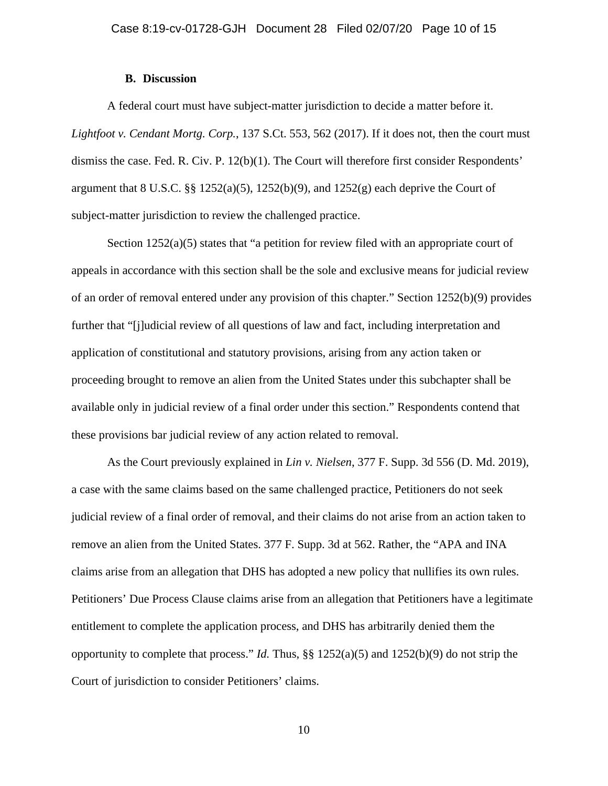## **B. Discussion**

A federal court must have subject-matter jurisdiction to decide a matter before it. *Lightfoot v. Cendant Mortg. Corp.*, 137 S.Ct. 553, 562 (2017). If it does not, then the court must dismiss the case. Fed. R. Civ. P. 12(b)(1). The Court will therefore first consider Respondents' argument that  $8 \text{ U.S.C. }$   $\S\S 1252(a)(5)$ ,  $1252(b)(9)$ , and  $1252(g)$  each deprive the Court of subject-matter jurisdiction to review the challenged practice.

Section  $1252(a)(5)$  states that "a petition for review filed with an appropriate court of appeals in accordance with this section shall be the sole and exclusive means for judicial review of an order of removal entered under any provision of this chapter." Section 1252(b)(9) provides further that "[j]udicial review of all questions of law and fact, including interpretation and application of constitutional and statutory provisions, arising from any action taken or proceeding brought to remove an alien from the United States under this subchapter shall be available only in judicial review of a final order under this section." Respondents contend that these provisions bar judicial review of any action related to removal.

As the Court previously explained in *Lin v. Nielsen*, 377 F. Supp. 3d 556 (D. Md. 2019), a case with the same claims based on the same challenged practice, Petitioners do not seek judicial review of a final order of removal, and their claims do not arise from an action taken to remove an alien from the United States. 377 F. Supp. 3d at 562. Rather, the "APA and INA claims arise from an allegation that DHS has adopted a new policy that nullifies its own rules. Petitioners' Due Process Clause claims arise from an allegation that Petitioners have a legitimate entitlement to complete the application process, and DHS has arbitrarily denied them the opportunity to complete that process." *Id.* Thus, §§ 1252(a)(5) and 1252(b)(9) do not strip the Court of jurisdiction to consider Petitioners' claims.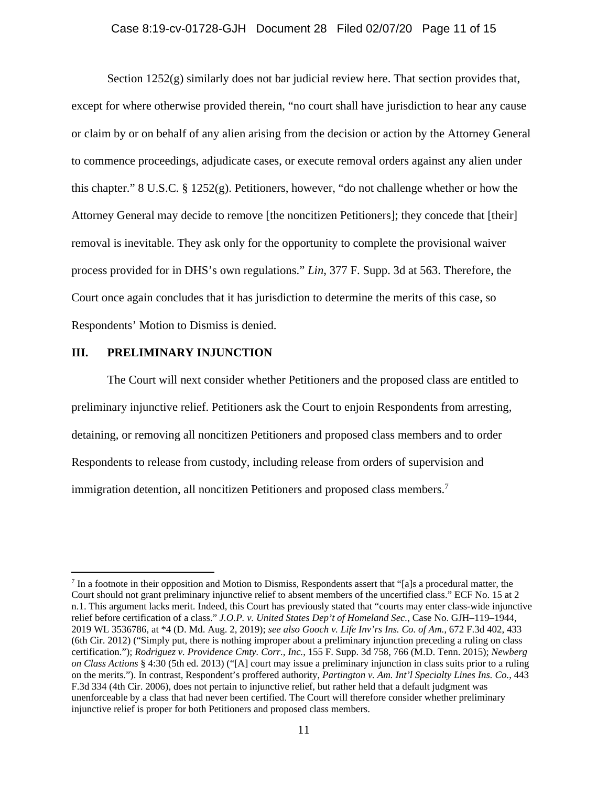## Case 8:19-cv-01728-GJH Document 28 Filed 02/07/20 Page 11 of 15

Section 1252(g) similarly does not bar judicial review here. That section provides that, except for where otherwise provided therein, "no court shall have jurisdiction to hear any cause or claim by or on behalf of any alien arising from the decision or action by the Attorney General to commence proceedings, adjudicate cases, or execute removal orders against any alien under this chapter." 8 U.S.C. § 1252(g). Petitioners, however, "do not challenge whether or how the Attorney General may decide to remove [the noncitizen Petitioners]; they concede that [their] removal is inevitable. They ask only for the opportunity to complete the provisional waiver process provided for in DHS's own regulations." *Lin*, 377 F. Supp. 3d at 563. Therefore, the Court once again concludes that it has jurisdiction to determine the merits of this case, so Respondents' Motion to Dismiss is denied.

## **III. PRELIMINARY INJUNCTION**

The Court will next consider whether Petitioners and the proposed class are entitled to preliminary injunctive relief. Petitioners ask the Court to enjoin Respondents from arresting, detaining, or removing all noncitizen Petitioners and proposed class members and to order Respondents to release from custody, including release from orders of supervision and immigration detention, all noncitizen Petitioners and proposed class members.<sup>7</sup>

 $<sup>7</sup>$  In a footnote in their opposition and Motion to Dismiss, Respondents assert that "[a]s a procedural matter, the</sup> Court should not grant preliminary injunctive relief to absent members of the uncertified class." ECF No. 15 at 2 n.1. This argument lacks merit. Indeed, this Court has previously stated that "courts may enter class-wide injunctive relief before certification of a class." *J.O.P. v. United States Dep't of Homeland Sec.*, Case No. GJH–119–1944, 2019 WL 3536786, at \*4 (D. Md. Aug. 2, 2019); *see also Gooch v. Life Inv'rs Ins. Co. of Am.*, 672 F.3d 402, 433 (6th Cir. 2012) ("Simply put, there is nothing improper about a preliminary injunction preceding a ruling on class certification."); *Rodriguez v. Providence Cmty. Corr., Inc.*, 155 F. Supp. 3d 758, 766 (M.D. Tenn. 2015); *Newberg on Class Actions* § 4:30 (5th ed. 2013) ("[A] court may issue a preliminary injunction in class suits prior to a ruling on the merits."). In contrast, Respondent's proffered authority, *Partington v. Am. Int'l Specialty Lines Ins. Co.*, 443 F.3d 334 (4th Cir. 2006), does not pertain to injunctive relief, but rather held that a default judgment was unenforceable by a class that had never been certified. The Court will therefore consider whether preliminary injunctive relief is proper for both Petitioners and proposed class members.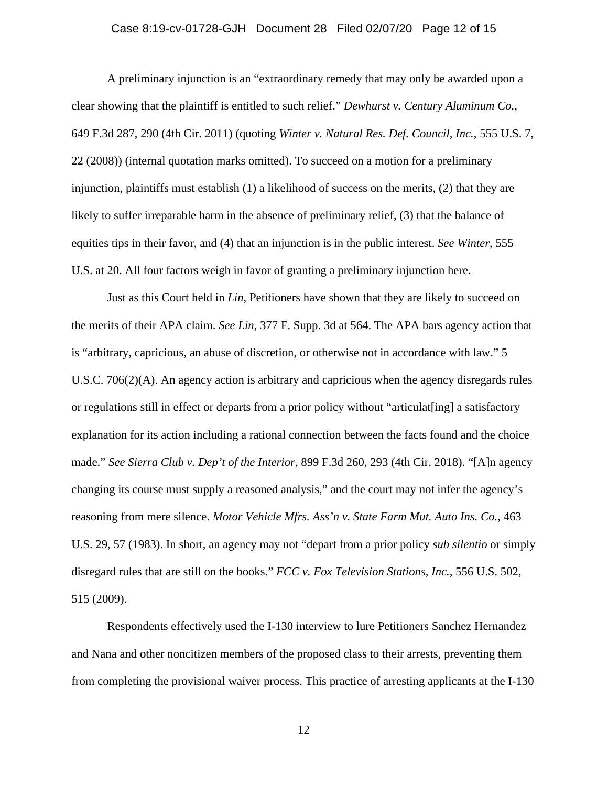# Case 8:19-cv-01728-GJH Document 28 Filed 02/07/20 Page 12 of 15

A preliminary injunction is an "extraordinary remedy that may only be awarded upon a clear showing that the plaintiff is entitled to such relief." *Dewhurst v. Century Aluminum Co.*, 649 F.3d 287, 290 (4th Cir. 2011) (quoting *Winter v. Natural Res. Def. Council, Inc.*, 555 U.S. 7, 22 (2008)) (internal quotation marks omitted). To succeed on a motion for a preliminary injunction, plaintiffs must establish (1) a likelihood of success on the merits, (2) that they are likely to suffer irreparable harm in the absence of preliminary relief, (3) that the balance of equities tips in their favor, and (4) that an injunction is in the public interest. *See Winter*, 555 U.S. at 20. All four factors weigh in favor of granting a preliminary injunction here.

 Just as this Court held in *Lin*, Petitioners have shown that they are likely to succeed on the merits of their APA claim. *See Lin*, 377 F. Supp. 3d at 564. The APA bars agency action that is "arbitrary, capricious, an abuse of discretion, or otherwise not in accordance with law." 5 U.S.C. 706(2)(A). An agency action is arbitrary and capricious when the agency disregards rules or regulations still in effect or departs from a prior policy without "articulat[ing] a satisfactory explanation for its action including a rational connection between the facts found and the choice made." *See Sierra Club v. Dep't of the Interior*, 899 F.3d 260, 293 (4th Cir. 2018). "[A]n agency changing its course must supply a reasoned analysis," and the court may not infer the agency's reasoning from mere silence. *Motor Vehicle Mfrs. Ass'n v. State Farm Mut. Auto Ins. Co.*, 463 U.S. 29, 57 (1983). In short, an agency may not "depart from a prior policy *sub silentio* or simply disregard rules that are still on the books." *FCC v. Fox Television Stations, Inc.*, 556 U.S. 502, 515 (2009).

 Respondents effectively used the I-130 interview to lure Petitioners Sanchez Hernandez and Nana and other noncitizen members of the proposed class to their arrests, preventing them from completing the provisional waiver process. This practice of arresting applicants at the I-130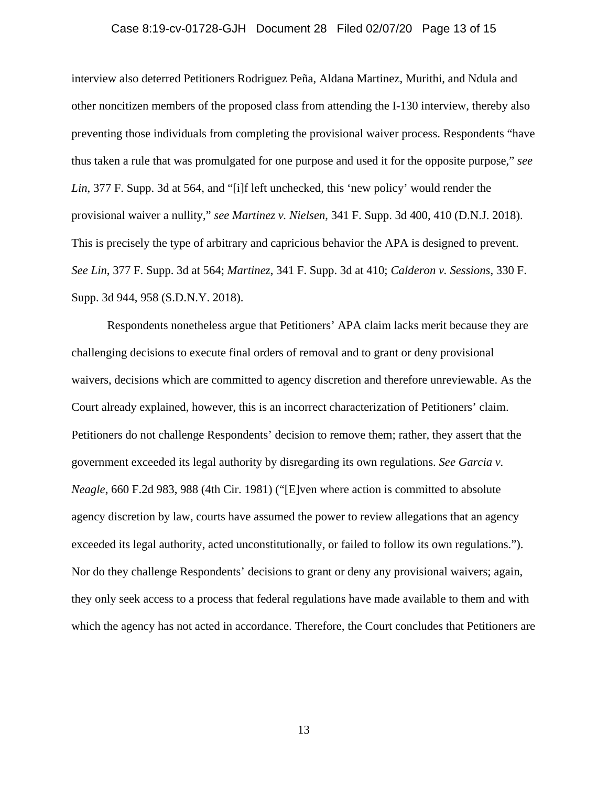## Case 8:19-cv-01728-GJH Document 28 Filed 02/07/20 Page 13 of 15

interview also deterred Petitioners Rodriguez Peña, Aldana Martinez, Murithi, and Ndula and other noncitizen members of the proposed class from attending the I-130 interview, thereby also preventing those individuals from completing the provisional waiver process. Respondents "have thus taken a rule that was promulgated for one purpose and used it for the opposite purpose," *see Lin*, 377 F. Supp. 3d at 564, and "[i]f left unchecked, this 'new policy' would render the provisional waiver a nullity," *see Martinez v. Nielsen*, 341 F. Supp. 3d 400, 410 (D.N.J. 2018). This is precisely the type of arbitrary and capricious behavior the APA is designed to prevent. *See Lin*, 377 F. Supp. 3d at 564; *Martinez*, 341 F. Supp. 3d at 410; *Calderon v. Sessions*, 330 F. Supp. 3d 944, 958 (S.D.N.Y. 2018).

 Respondents nonetheless argue that Petitioners' APA claim lacks merit because they are challenging decisions to execute final orders of removal and to grant or deny provisional waivers, decisions which are committed to agency discretion and therefore unreviewable. As the Court already explained, however, this is an incorrect characterization of Petitioners' claim. Petitioners do not challenge Respondents' decision to remove them; rather, they assert that the government exceeded its legal authority by disregarding its own regulations. *See Garcia v. Neagle*, 660 F.2d 983, 988 (4th Cir. 1981) ("[E]ven where action is committed to absolute agency discretion by law, courts have assumed the power to review allegations that an agency exceeded its legal authority, acted unconstitutionally, or failed to follow its own regulations."). Nor do they challenge Respondents' decisions to grant or deny any provisional waivers; again, they only seek access to a process that federal regulations have made available to them and with which the agency has not acted in accordance. Therefore, the Court concludes that Petitioners are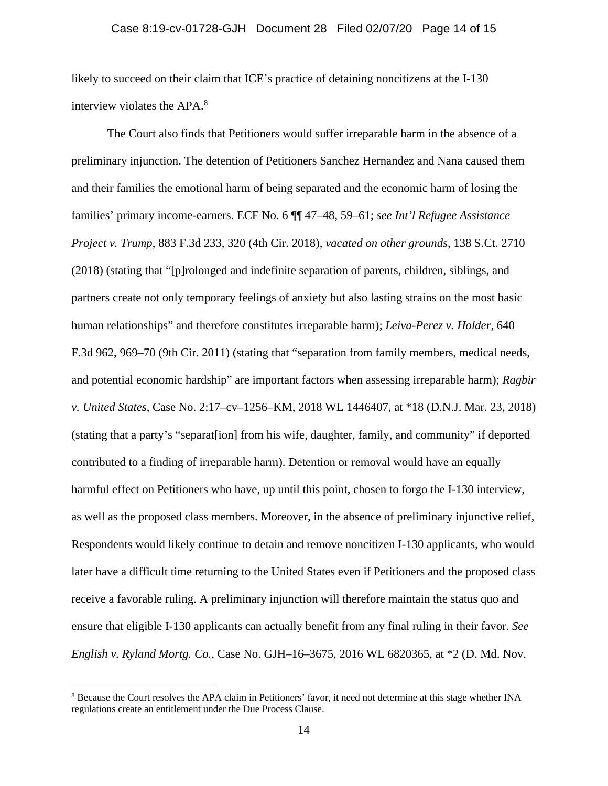likely to succeed on their claim that ICE's practice of detaining noncitizens at the I-130 interview violates the APA.<sup>8</sup>

 The Court also finds that Petitioners would suffer irreparable harm in the absence of a preliminary injunction. The detention of Petitioners Sanchez Hernandez and Nana caused them and their families the emotional harm of being separated and the economic harm of losing the families' primary income-earners. ECF No. 6 ¶¶ 47–48, 59–61; *see Int'l Refugee Assistance Project v. Trump*, 883 F.3d 233, 320 (4th Cir. 2018), *vacated on other grounds*, 138 S.Ct. 2710 (2018) (stating that "[p]rolonged and indefinite separation of parents, children, siblings, and partners create not only temporary feelings of anxiety but also lasting strains on the most basic human relationships" and therefore constitutes irreparable harm); *Leiva-Perez v. Holder*, 640 F.3d 962, 969–70 (9th Cir. 2011) (stating that "separation from family members, medical needs, and potential economic hardship" are important factors when assessing irreparable harm); *Ragbir v. United States*, Case No. 2:17–cv–1256–KM, 2018 WL 1446407, at \*18 (D.N.J. Mar. 23, 2018) (stating that a party's "separat[ion] from his wife, daughter, family, and community" if deported contributed to a finding of irreparable harm). Detention or removal would have an equally harmful effect on Petitioners who have, up until this point, chosen to forgo the I-130 interview, as well as the proposed class members. Moreover, in the absence of preliminary injunctive relief, Respondents would likely continue to detain and remove noncitizen I-130 applicants, who would later have a difficult time returning to the United States even if Petitioners and the proposed class receive a favorable ruling. A preliminary injunction will therefore maintain the status quo and ensure that eligible I-130 applicants can actually benefit from any final ruling in their favor. *See English v. Ryland Mortg. Co.*, Case No. GJH–16–3675, 2016 WL 6820365, at \*2 (D. Md. Nov.

<sup>&</sup>lt;sup>8</sup> Because the Court resolves the APA claim in Petitioners' favor, it need not determine at this stage whether INA regulations create an entitlement under the Due Process Clause.